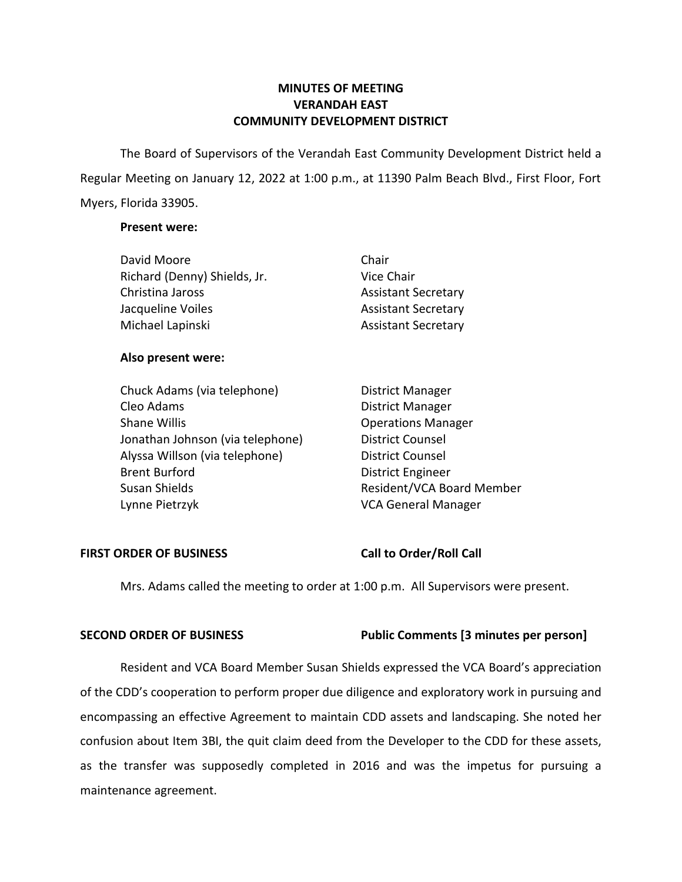# **MINUTES OF MEETING VERANDAH EAST COMMUNITY DEVELOPMENT DISTRICT**

 The Board of Supervisors of the Verandah East Community Development District held a Regular Meeting on January 12, 2022 at 1:00 p.m., at 11390 Palm Beach Blvd., First Floor, Fort Myers, Florida 33905.

# **Present were:**

| David Moore                  | Chair                      |
|------------------------------|----------------------------|
| Richard (Denny) Shields, Jr. | Vice Chair                 |
| Christina Jaross             | <b>Assistant Secretary</b> |
| Jacqueline Voiles            | <b>Assistant Secretary</b> |
| Michael Lapinski             | <b>Assistant Secretary</b> |

# **Also present were:**

| Chuck Adams (via telephone)      | <b>District Manager</b>    |
|----------------------------------|----------------------------|
| Cleo Adams                       | <b>District Manager</b>    |
| <b>Shane Willis</b>              | <b>Operations Manager</b>  |
| Jonathan Johnson (via telephone) | <b>District Counsel</b>    |
| Alyssa Willson (via telephone)   | <b>District Counsel</b>    |
| <b>Brent Burford</b>             | <b>District Engineer</b>   |
| Susan Shields                    | Resident/VCA Board Member  |
| Lynne Pietrzyk                   | <b>VCA General Manager</b> |

# FIRST ORDER OF BUSINESS Call to Order/Roll Call

Mrs. Adams called the meeting to order at 1:00 p.m. All Supervisors were present.

# **SECOND ORDER OF BUSINESS Public Comments [3 minutes per person]**

Resident and VCA Board Member Susan Shields expressed the VCA Board's appreciation of the CDD's cooperation to perform proper due diligence and exploratory work in pursuing and encompassing an effective Agreement to maintain CDD assets and landscaping. She noted her confusion about Item 3BI, the quit claim deed from the Developer to the CDD for these assets, as the transfer was supposedly completed in 2016 and was the impetus for pursuing a maintenance agreement.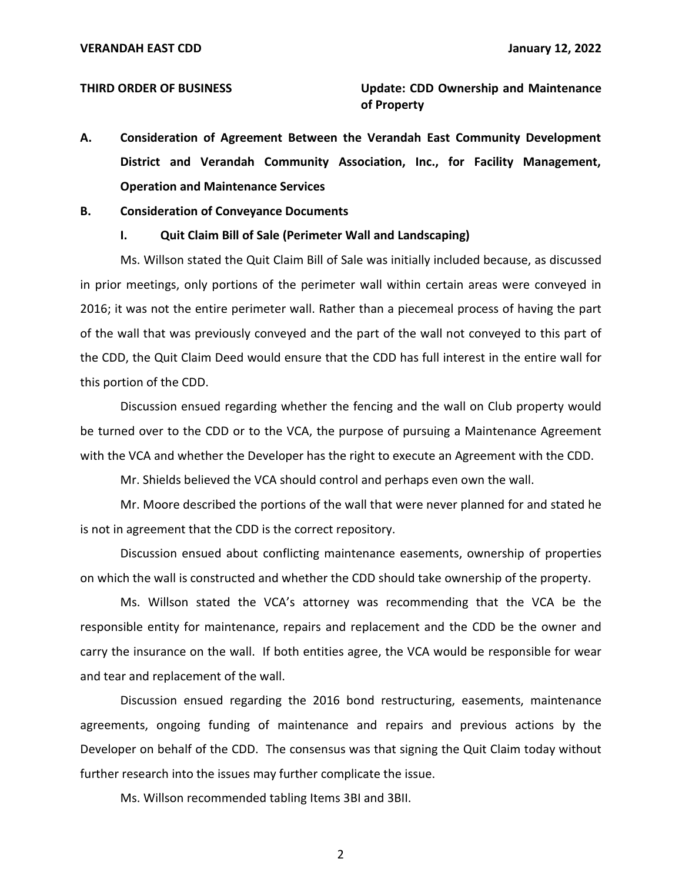**THIRD ORDER OF BUSINESS Update: CDD Ownership and Maintenance of Property** 

 **A. Consideration of Agreement Between the Verandah East Community Development District and Verandah Community Association, Inc., for Facility Management, Operation and Maintenance Services** 

#### **B. Consideration of Conveyance Documents**

#### **I. Quit Claim Bill of Sale (Perimeter Wall and Landscaping)**

Ms. Willson stated the Quit Claim Bill of Sale was initially included because, as discussed in prior meetings, only portions of the perimeter wall within certain areas were conveyed in 2016; it was not the entire perimeter wall. Rather than a piecemeal process of having the part of the wall that was previously conveyed and the part of the wall not conveyed to this part of the CDD, the Quit Claim Deed would ensure that the CDD has full interest in the entire wall for this portion of the CDD.

Discussion ensued regarding whether the fencing and the wall on Club property would be turned over to the CDD or to the VCA, the purpose of pursuing a Maintenance Agreement with the VCA and whether the Developer has the right to execute an Agreement with the CDD.

Mr. Shields believed the VCA should control and perhaps even own the wall.

Mr. Moore described the portions of the wall that were never planned for and stated he is not in agreement that the CDD is the correct repository.

Discussion ensued about conflicting maintenance easements, ownership of properties on which the wall is constructed and whether the CDD should take ownership of the property.

Ms. Willson stated the VCA's attorney was recommending that the VCA be the responsible entity for maintenance, repairs and replacement and the CDD be the owner and carry the insurance on the wall. If both entities agree, the VCA would be responsible for wear and tear and replacement of the wall.

Discussion ensued regarding the 2016 bond restructuring, easements, maintenance agreements, ongoing funding of maintenance and repairs and previous actions by the Developer on behalf of the CDD. The consensus was that signing the Quit Claim today without further research into the issues may further complicate the issue.

Ms. Willson recommended tabling Items 3BI and 3BII.

2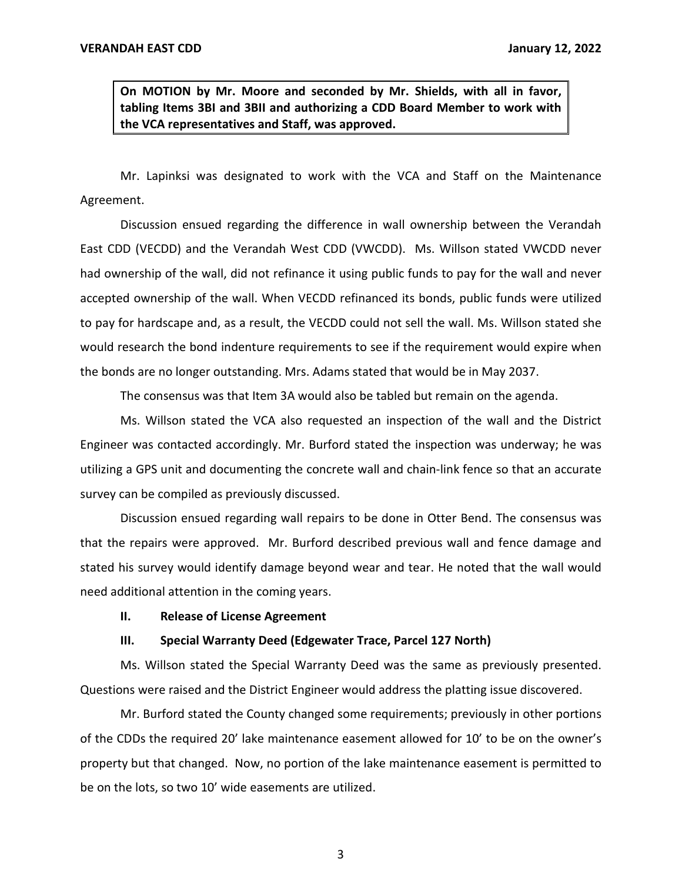**On MOTION by Mr. Moore and seconded by Mr. Shields, with all in favor, tabling Items 3BI and 3BII and authorizing a CDD Board Member to work with the VCA representatives and Staff, was approved.** 

Mr. Lapinksi was designated to work with the VCA and Staff on the Maintenance Agreement.

Discussion ensued regarding the difference in wall ownership between the Verandah East CDD (VECDD) and the Verandah West CDD (VWCDD). Ms. Willson stated VWCDD never had ownership of the wall, did not refinance it using public funds to pay for the wall and never accepted ownership of the wall. When VECDD refinanced its bonds, public funds were utilized to pay for hardscape and, as a result, the VECDD could not sell the wall. Ms. Willson stated she would research the bond indenture requirements to see if the requirement would expire when the bonds are no longer outstanding. Mrs. Adams stated that would be in May 2037.

The consensus was that Item 3A would also be tabled but remain on the agenda.

Ms. Willson stated the VCA also requested an inspection of the wall and the District Engineer was contacted accordingly. Mr. Burford stated the inspection was underway; he was utilizing a GPS unit and documenting the concrete wall and chain-link fence so that an accurate survey can be compiled as previously discussed.

Discussion ensued regarding wall repairs to be done in Otter Bend. The consensus was that the repairs were approved. Mr. Burford described previous wall and fence damage and stated his survey would identify damage beyond wear and tear. He noted that the wall would need additional attention in the coming years.

#### **II. Release of License Agreement**

#### **III. Special Warranty Deed (Edgewater Trace, Parcel 127 North)**

Ms. Willson stated the Special Warranty Deed was the same as previously presented. Questions were raised and the District Engineer would address the platting issue discovered.

Mr. Burford stated the County changed some requirements; previously in other portions of the CDDs the required 20' lake maintenance easement allowed for 10' to be on the owner's property but that changed. Now, no portion of the lake maintenance easement is permitted to be on the lots, so two 10' wide easements are utilized.

3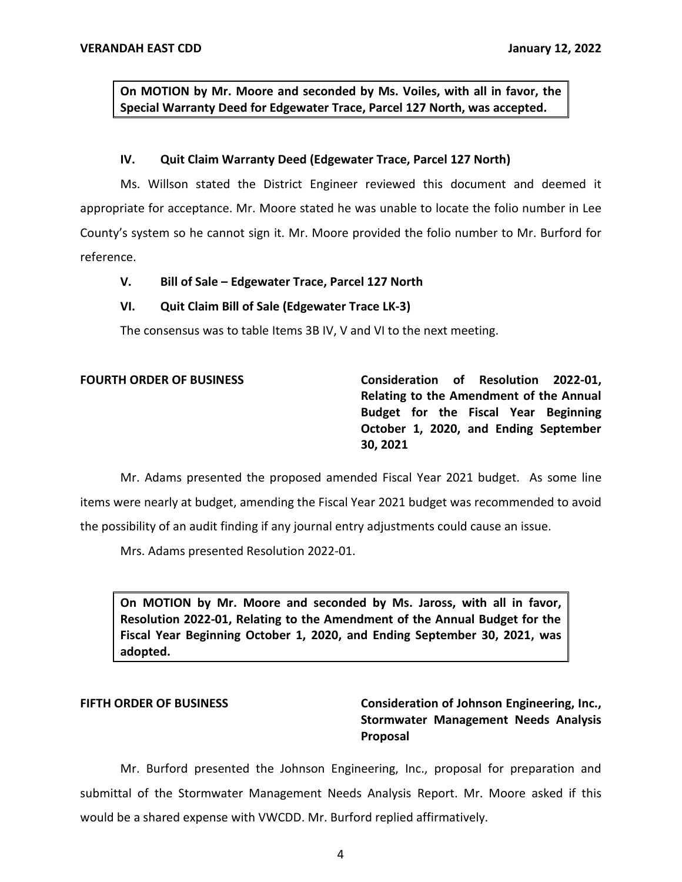**On MOTION by Mr. Moore and seconded by Ms. Voiles, with all in favor, the Special Warranty Deed for Edgewater Trace, Parcel 127 North, was accepted.** 

### **IV. Quit Claim Warranty Deed (Edgewater Trace, Parcel 127 North)**

Ms. Willson stated the District Engineer reviewed this document and deemed it appropriate for acceptance. Mr. Moore stated he was unable to locate the folio number in Lee County's system so he cannot sign it. Mr. Moore provided the folio number to Mr. Burford for reference.

# **V. Bill of Sale – Edgewater Trace, Parcel 127 North**

### **VI. Quit Claim Bill of Sale (Edgewater Trace LK-3)**

The consensus was to table Items 3B IV, V and VI to the next meeting.

# **Relating to the Amendment of the Annual Budget for the Fiscal Year Beginning October 1, 2020, and Ending September FOURTH ORDER OF BUSINESS Consideration of Resolution 2022-01, 30, 2021**

Mr. Adams presented the proposed amended Fiscal Year 2021 budget. As some line items were nearly at budget, amending the Fiscal Year 2021 budget was recommended to avoid the possibility of an audit finding if any journal entry adjustments could cause an issue.

Mrs. Adams presented Resolution 2022-01.

 **On MOTION by Mr. Moore and seconded by Ms. Jaross, with all in favor, Resolution 2022-01, Relating to the Amendment of the Annual Budget for the Fiscal Year Beginning October 1, 2020, and Ending September 30, 2021, was adopted.** 

# **FIFTH ORDER OF BUSINESS Consideration of Johnson Engineering, Inc., Stormwater Management Needs Analysis Proposal**

Mr. Burford presented the Johnson Engineering, Inc., proposal for preparation and submittal of the Stormwater Management Needs Analysis Report. Mr. Moore asked if this would be a shared expense with VWCDD. Mr. Burford replied affirmatively.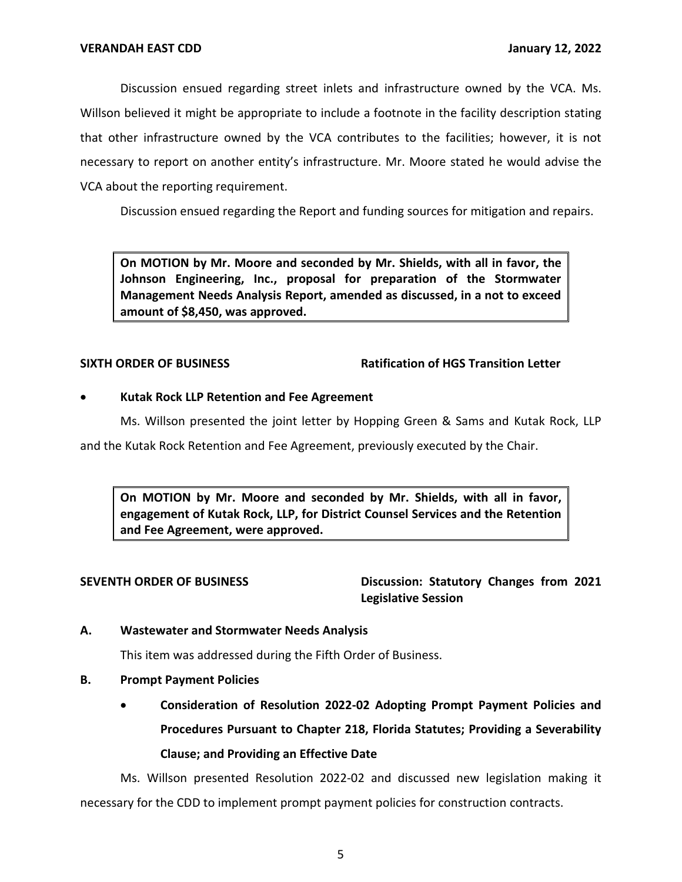Discussion ensued regarding street inlets and infrastructure owned by the VCA. Ms. Willson believed it might be appropriate to include a footnote in the facility description stating that other infrastructure owned by the VCA contributes to the facilities; however, it is not necessary to report on another entity's infrastructure. Mr. Moore stated he would advise the VCA about the reporting requirement.

Discussion ensued regarding the Report and funding sources for mitigation and repairs.

 **On MOTION by Mr. Moore and seconded by Mr. Shields, with all in favor, the Management Needs Analysis Report, amended as discussed, in a not to exceed Johnson Engineering, Inc., proposal for preparation of the Stormwater amount of \$8,450, was approved.** 

### **SIXTH ORDER OF BUSINESS Ratification of HGS Transition Letter**

### • **Kutak Rock LLP Retention and Fee Agreement**

Ms. Willson presented the joint letter by Hopping Green & Sams and Kutak Rock, LLP

and the Kutak Rock Retention and Fee Agreement, previously executed by the Chair.

 **On MOTION by Mr. Moore and seconded by Mr. Shields, with all in favor, engagement of Kutak Rock, LLP, for District Counsel Services and the Retention and Fee Agreement, were approved.** 

SEVENTH ORDER OF BUSINESS Discussion: Statutory Changes from 2021 **Legislative Session** 

# **A. Wastewater and Stormwater Needs Analysis**

This item was addressed during the Fifth Order of Business.

# **B. Prompt Payment Policies**

 • **Consideration of Resolution 2022-02 Adopting Prompt Payment Policies and Procedures Pursuant to Chapter 218, Florida Statutes; Providing a Severability Clause; and Providing an Effective Date** 

 Ms. Willson presented Resolution 2022-02 and discussed new legislation making it necessary for the CDD to implement prompt payment policies for construction contracts.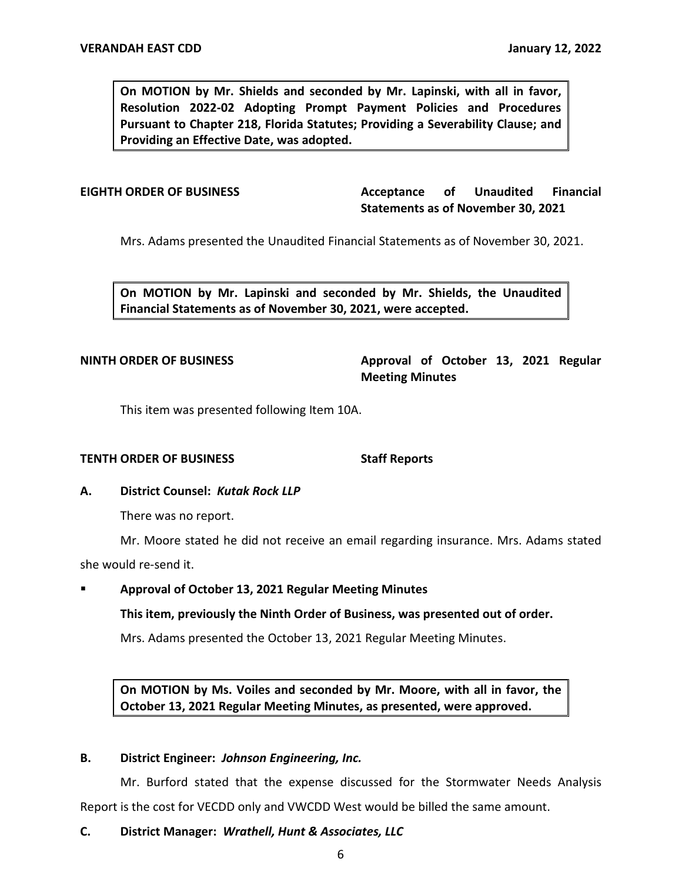**On MOTION by Mr. Shields and seconded by Mr. Lapinski, with all in favor, Resolution 2022-02 Adopting Prompt Payment Policies and Procedures Pursuant to Chapter 218, Florida Statutes; Providing a Severability Clause; and Providing an Effective Date, was adopted.** 

**Acceptance Statements as of November 30, 2021 EIGHTH ORDER OF BUSINESS Acceptance of Unaudited Financial** 

Mrs. Adams presented the Unaudited Financial Statements as of November 30, 2021.

 **On MOTION by Mr. Lapinski and seconded by Mr. Shields, the Unaudited Financial Statements as of November 30, 2021, were accepted.** 

**NINTH ORDER OF BUSINESS Approval of October 13, 2021 Regular Meeting Minutes** 

This item was presented following Item 10A.

### **TENTH ORDER OF BUSINESS** Staff Reports

# **A. District Counsel:** *Kutak Rock LLP*

There was no report.

Mr. Moore stated he did not receive an email regarding insurance. Mrs. Adams stated she would re-send it.

# ▪ **Approval of October 13, 2021 Regular Meeting Minutes**

**This item, previously the Ninth Order of Business, was presented out of order.** 

Mrs. Adams presented the October 13, 2021 Regular Meeting Minutes.

 **On MOTION by Ms. Voiles and seconded by Mr. Moore, with all in favor, the October 13, 2021 Regular Meeting Minutes, as presented, were approved.** 

#### **B. District Engineer:** *Johnson Engineering, Inc.*

Mr. Burford stated that the expense discussed for the Stormwater Needs Analysis Report is the cost for VECDD only and VWCDD West would be billed the same amount.

### **C. District Manager:** *Wrathell, Hunt & Associates, LLC*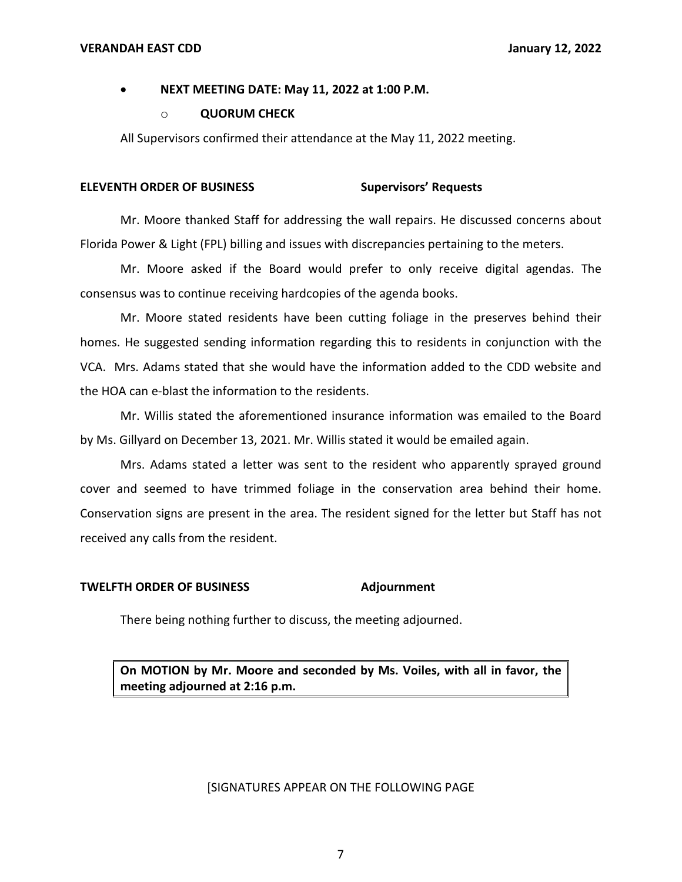#### **VERANDAH EAST CDD**

# • **NEXT MEETING DATE: May 11, 2022 at 1:00 P.M.**

### o **QUORUM CHECK**

All Supervisors confirmed their attendance at the May 11, 2022 meeting.

## **ELEVENTH ORDER OF BUSINESS Supervisors' Requests**

Mr. Moore thanked Staff for addressing the wall repairs. He discussed concerns about Florida Power & Light (FPL) billing and issues with discrepancies pertaining to the meters.

Mr. Moore asked if the Board would prefer to only receive digital agendas. The consensus was to continue receiving hardcopies of the agenda books.

Mr. Moore stated residents have been cutting foliage in the preserves behind their homes. He suggested sending information regarding this to residents in conjunction with the VCA. Mrs. Adams stated that she would have the information added to the CDD website and the HOA can e-blast the information to the residents.

Mr. Willis stated the aforementioned insurance information was emailed to the Board by Ms. Gillyard on December 13, 2021. Mr. Willis stated it would be emailed again.

Mrs. Adams stated a letter was sent to the resident who apparently sprayed ground cover and seemed to have trimmed foliage in the conservation area behind their home. Conservation signs are present in the area. The resident signed for the letter but Staff has not received any calls from the resident.

# **TWELFTH ORDER OF BUSINESS Adjournment**

There being nothing further to discuss, the meeting adjourned.

 **On MOTION by Mr. Moore and seconded by Ms. Voiles, with all in favor, the meeting adjourned at 2:16 p.m.** 

### [SIGNATURES APPEAR ON THE FOLLOWING PAGE